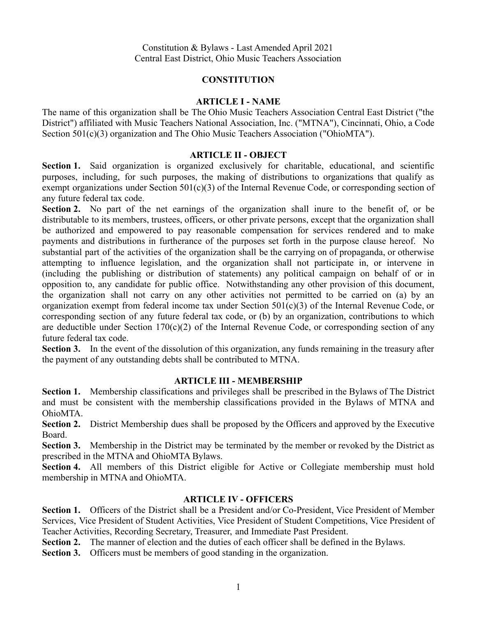# **CONSTITUTION**

# **ARTICLE I - NAME**

The name of this organization shall be The Ohio Music Teachers Association Central East District ("the District") affiliated with Music Teachers National Association, Inc. ("MTNA"), Cincinnati, Ohio, a Code Section 501(c)(3) organization and The Ohio Music Teachers Association ("OhioMTA").

### **ARTICLE II - OBJECT**

**Section 1.** Said organization is organized exclusively for charitable, educational, and scientific purposes, including, for such purposes, the making of distributions to organizations that qualify as exempt organizations under Section 501(c)(3) of the Internal Revenue Code, or corresponding section of any future federal tax code.

**Section 2.** No part of the net earnings of the organization shall inure to the benefit of, or be distributable to its members, trustees, officers, or other private persons, except that the organization shall be authorized and empowered to pay reasonable compensation for services rendered and to make payments and distributions in furtherance of the purposes set forth in the purpose clause hereof. No substantial part of the activities of the organization shall be the carrying on of propaganda, or otherwise attempting to influence legislation, and the organization shall not participate in, or intervene in (including the publishing or distribution of statements) any political campaign on behalf of or in opposition to, any candidate for public office. Notwithstanding any other provision of this document, the organization shall not carry on any other activities not permitted to be carried on (a) by an organization exempt from federal income tax under Section 501(c)(3) of the Internal Revenue Code, or corresponding section of any future federal tax code, or (b) by an organization, contributions to which are deductible under Section 170(c)(2) of the Internal Revenue Code, or corresponding section of any future federal tax code.

**Section 3.** In the event of the dissolution of this organization, any funds remaining in the treasury after the payment of any outstanding debts shall be contributed to MTNA.

# **ARTICLE III - MEMBERSHIP**

**Section 1.** Membership classifications and privileges shall be prescribed in the Bylaws of The District and must be consistent with the membership classifications provided in the Bylaws of MTNA and OhioMTA.

**Section 2.** District Membership dues shall be proposed by the Officers and approved by the Executive Board.

**Section 3.** Membership in the District may be terminated by the member or revoked by the District as prescribed in the MTNA and OhioMTA Bylaws.

**Section 4.** All members of this District eligible for Active or Collegiate membership must hold membership in MTNA and OhioMTA.

# **ARTICLE IV - OFFICERS**

**Section 1.** Officers of the District shall be a President and/or Co-President, Vice President of Member Services, Vice President of Student Activities, Vice President of Student Competitions, Vice President of Teacher Activities, Recording Secretary, Treasurer, and Immediate Past President.

**Section 2.** The manner of election and the duties of each officer shall be defined in the Bylaws.

**Section 3.** Officers must be members of good standing in the organization.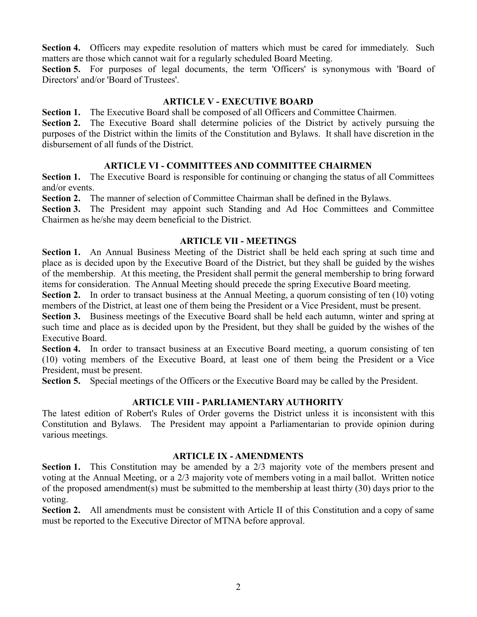**Section 4.** Officers may expedite resolution of matters which must be cared for immediately. Such matters are those which cannot wait for a regularly scheduled Board Meeting.

**Section 5.** For purposes of legal documents, the term 'Officers' is synonymous with 'Board of Directors' and/or 'Board of Trustees'.

### **ARTICLE V - EXECUTIVE BOARD**

**Section 1.** The Executive Board shall be composed of all Officers and Committee Chairmen.

**Section 2.** The Executive Board shall determine policies of the District by actively pursuing the purposes of the District within the limits of the Constitution and Bylaws. It shall have discretion in the disbursement of all funds of the District.

### **ARTICLE VI - COMMITTEES AND COMMITTEE CHAIRMEN**

**Section 1.** The Executive Board is responsible for continuing or changing the status of all Committees and/or events.

**Section 2.** The manner of selection of Committee Chairman shall be defined in the Bylaws.

**Section 3.** The President may appoint such Standing and Ad Hoc Committees and Committee Chairmen as he/she may deem beneficial to the District.

#### **ARTICLE VII - MEETINGS**

**Section 1.** An Annual Business Meeting of the District shall be held each spring at such time and place as is decided upon by the Executive Board of the District, but they shall be guided by the wishes of the membership. At this meeting, the President shall permit the general membership to bring forward items for consideration. The Annual Meeting should precede the spring Executive Board meeting.

**Section 2.** In order to transact business at the Annual Meeting, a quorum consisting of ten (10) voting members of the District, at least one of them being the President or a Vice President, must be present.

**Section 3.** Business meetings of the Executive Board shall be held each autumn, winter and spring at such time and place as is decided upon by the President, but they shall be guided by the wishes of the Executive Board.

**Section 4.** In order to transact business at an Executive Board meeting, a quorum consisting of ten (10) voting members of the Executive Board, at least one of them being the President or a Vice President, must be present.

**Section 5.** Special meetings of the Officers or the Executive Board may be called by the President.

### **ARTICLE VIII - PARLIAMENTARY AUTHORITY**

The latest edition of Robert's Rules of Order governs the District unless it is inconsistent with this Constitution and Bylaws. The President may appoint a Parliamentarian to provide opinion during various meetings.

### **ARTICLE IX - AMENDMENTS**

**Section 1.** This Constitution may be amended by a 2/3 majority vote of the members present and voting at the Annual Meeting, or a 2/3 majority vote of members voting in a mail ballot. Written notice of the proposed amendment(s) must be submitted to the membership at least thirty (30) days prior to the voting.

**Section 2.** All amendments must be consistent with Article II of this Constitution and a copy of same must be reported to the Executive Director of MTNA before approval.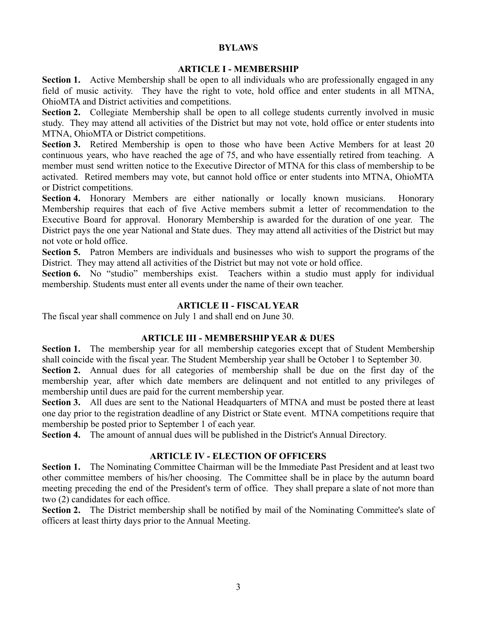### **BYLAWS**

### **ARTICLE I - MEMBERSHIP**

**Section 1.** Active Membership shall be open to all individuals who are professionally engaged in any field of music activity. They have the right to vote, hold office and enter students in all MTNA, OhioMTA and District activities and competitions.

**Section 2.** Collegiate Membership shall be open to all college students currently involved in music study. They may attend all activities of the District but may not vote, hold office or enter students into MTNA, OhioMTA or District competitions.

**Section 3.** Retired Membership is open to those who have been Active Members for at least 20 continuous years, who have reached the age of 75, and who have essentially retired from teaching. A member must send written notice to the Executive Director of MTNA for this class of membership to be activated. Retired members may vote, but cannot hold office or enter students into MTNA, OhioMTA or District competitions.

**Section 4.** Honorary Members are either nationally or locally known musicians. Honorary Membership requires that each of five Active members submit a letter of recommendation to the Executive Board for approval. Honorary Membership is awarded for the duration of one year. The District pays the one year National and State dues. They may attend all activities of the District but may not vote or hold office.

**Section 5.** Patron Members are individuals and businesses who wish to support the programs of the District. They may attend all activities of the District but may not vote or hold office.

**Section 6.** No "studio" memberships exist. Teachers within a studio must apply for individual membership. Students must enter all events under the name of their own teacher.

# **ARTICLE II - FISCAL YEAR**

The fiscal year shall commence on July 1 and shall end on June 30.

# **ARTICLE III - MEMBERSHIP YEAR & DUES**

**Section 1.** The membership year for all membership categories except that of Student Membership shall coincide with the fiscal year. The Student Membership year shall be October 1 to September 30.

**Section 2.** Annual dues for all categories of membership shall be due on the first day of the membership year, after which date members are delinquent and not entitled to any privileges of membership until dues are paid for the current membership year.

**Section 3.** All dues are sent to the National Headquarters of MTNA and must be posted there at least one day prior to the registration deadline of any District or State event. MTNA competitions require that membership be posted prior to September 1 of each year.

**Section 4.** The amount of annual dues will be published in the District's Annual Directory.

# **ARTICLE IV - ELECTION OF OFFICERS**

**Section 1.** The Nominating Committee Chairman will be the Immediate Past President and at least two other committee members of his/her choosing. The Committee shall be in place by the autumn board meeting preceding the end of the President's term of office. They shall prepare a slate of not more than two (2) candidates for each office.

**Section 2.** The District membership shall be notified by mail of the Nominating Committee's slate of officers at least thirty days prior to the Annual Meeting.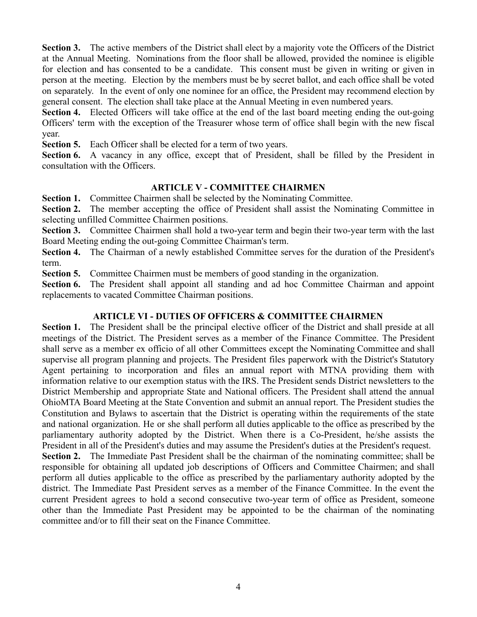**Section 3.** The active members of the District shall elect by a majority vote the Officers of the District at the Annual Meeting. Nominations from the floor shall be allowed, provided the nominee is eligible for election and has consented to be a candidate. This consent must be given in writing or given in person at the meeting. Election by the members must be by secret ballot, and each office shall be voted on separately. In the event of only one nominee for an office, the President may recommend election by general consent. The election shall take place at the Annual Meeting in even numbered years.

**Section 4.** Elected Officers will take office at the end of the last board meeting ending the out-going Officers' term with the exception of the Treasurer whose term of office shall begin with the new fiscal year.

**Section 5.** Each Officer shall be elected for a term of two years.

Section **6.** A vacancy in any office, except that of President, shall be filled by the President in consultation with the Officers.

# **ARTICLE V - COMMITTEE CHAIRMEN**

**Section 1.** Committee Chairmen shall be selected by the Nominating Committee.

**Section 2.** The member accepting the office of President shall assist the Nominating Committee in selecting unfilled Committee Chairmen positions.

**Section 3.** Committee Chairmen shall hold a two-year term and begin their two-year term with the last Board Meeting ending the out-going Committee Chairman's term.

**Section 4.** The Chairman of a newly established Committee serves for the duration of the President's term.

**Section 5.** Committee Chairmen must be members of good standing in the organization.

**Section 6.** The President shall appoint all standing and ad hoc Committee Chairman and appoint replacements to vacated Committee Chairman positions.

# **ARTICLE VI - DUTIES OF OFFICERS & COMMITTEE CHAIRMEN**

**Section 1.** The President shall be the principal elective officer of the District and shall preside at all meetings of the District. The President serves as a member of the Finance Committee. The President shall serve as a member ex officio of all other Committees except the Nominating Committee and shall supervise all program planning and projects. The President files paperwork with the District's Statutory Agent pertaining to incorporation and files an annual report with MTNA providing them with information relative to our exemption status with the IRS. The President sends District newsletters to the District Membership and appropriate State and National officers. The President shall attend the annual OhioMTA Board Meeting at the State Convention and submit an annual report. The President studies the Constitution and Bylaws to ascertain that the District is operating within the requirements of the state and national organization. He or she shall perform all duties applicable to the office as prescribed by the parliamentary authority adopted by the District. When there is a Co-President, he/she assists the President in all of the President's duties and may assume the President's duties at the President's request.

**Section 2.** The Immediate Past President shall be the chairman of the nominating committee; shall be responsible for obtaining all updated job descriptions of Officers and Committee Chairmen; and shall perform all duties applicable to the office as prescribed by the parliamentary authority adopted by the district. The Immediate Past President serves as a member of the Finance Committee. In the event the current President agrees to hold a second consecutive two-year term of office as President, someone other than the Immediate Past President may be appointed to be the chairman of the nominating committee and/or to fill their seat on the Finance Committee.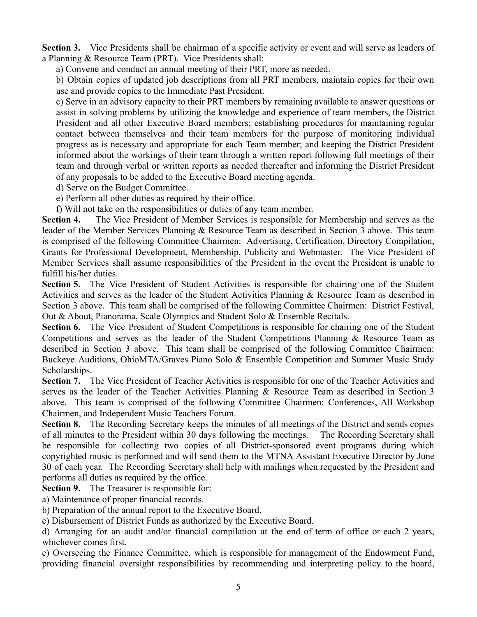**Section 3.** Vice Presidents shall be chairman of a specific activity or event and will serve as leaders of a Planning & Resource Team (PRT). Vice Presidents shall:

a) Convene and conduct an annual meeting of their PRT, more as needed.

b) Obtain copies of updated job descriptions from all PRT members, maintain copies for their own use and provide copies to the Immediate Past President.

c) Serve in an advisory capacity to their PRT members by remaining available to answer questions or assist in solving problems by utilizing the knowledge and experience of team members, the District President and all other Executive Board members; establishing procedures for maintaining regular contact between themselves and their team members for the purpose of monitoring individual progress as is necessary and appropriate for each Team member; and keeping the District President informed about the workings of their team through a written report following full meetings of their team and through verbal or written reports as needed thereafter and informing the District President of any proposals to be added to the Executive Board meeting agenda.

d) Serve on the Budget Committee.

e) Perform all other duties as required by their office.

f) Will not take on the responsibilities or duties of any team member.

**Section 4.** The Vice President of Member Services is responsible for Membership and serves as the leader of the Member Services Planning & Resource Team as described in Section 3 above. This team is comprised of the following Committee Chairmen: Advertising, Certification, Directory Compilation, Grants for Professional Development, Membership, Publicity and Webmaster. The Vice President of Member Services shall assume responsibilities of the President in the event the President is unable to fulfill his/her duties.

**Section 5.** The Vice President of Student Activities is responsible for chairing one of the Student Activities and serves as the leader of the Student Activities Planning & Resource Team as described in Section 3 above. This team shall be comprised of the following Committee Chairmen: District Festival, Out & About, Pianorama, Scale Olympics and Student Solo & Ensemble Recitals.

**Section 6.** The Vice President of Student Competitions is responsible for chairing one of the Student Competitions and serves as the leader of the Student Competitions Planning & Resource Team as described in Section 3 above. This team shall be comprised of the following Committee Chairmen: Buckeye Auditions, OhioMTA/Graves Piano Solo & Ensemble Competition and Summer Music Study Scholarships.

**Section 7.** The Vice President of Teacher Activities is responsible for one of the Teacher Activities and serves as the leader of the Teacher Activities Planning & Resource Team as described in Section 3 above. This team is comprised of the following Committee Chairmen: Conferences, All Workshop Chairmen, and Independent Music Teachers Forum.

**Section 8.** The Recording Secretary keeps the minutes of all meetings of the District and sends copies of all minutes to the President within 30 days following the meetings. The Recording Secretary shall be responsible for collecting two copies of all District-sponsored event programs during which copyrighted music is performed and will send them to the MTNA Assistant Executive Director by June 30 of each year. The Recording Secretary shall help with mailings when requested by the President and performs all duties as required by the office.

**Section 9.** The Treasurer is responsible for:

a) Maintenance of proper financial records.

b) Preparation of the annual report to the Executive Board.

c) Disbursement of District Funds as authorized by the Executive Board.

d) Arranging for an audit and/or financial compilation at the end of term of office or each 2 years, whichever comes first.

e) Overseeing the Finance Committee, which is responsible for management of the Endowment Fund, providing financial oversight responsibilities by recommending and interpreting policy to the board,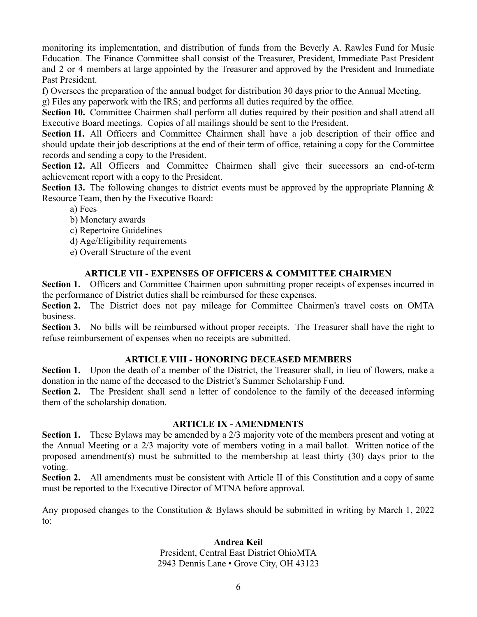monitoring its implementation, and distribution of funds from the Beverly A. Rawles Fund for Music Education. The Finance Committee shall consist of the Treasurer, President, Immediate Past President and 2 or 4 members at large appointed by the Treasurer and approved by the President and Immediate Past President.

f) Oversees the preparation of the annual budget for distribution 30 days prior to the Annual Meeting.

g) Files any paperwork with the IRS; and performs all duties required by the office.

**Section 10.** Committee Chairmen shall perform all duties required by their position and shall attend all Executive Board meetings. Copies of all mailings should be sent to the President.

Section 11. All Officers and Committee Chairmen shall have a job description of their office and should update their job descriptions at the end of their term of office, retaining a copy for the Committee records and sending a copy to the President.

**Section 12.** All Officers and Committee Chairmen shall give their successors an end-of-term achievement report with a copy to the President.

**Section 13.** The following changes to district events must be approved by the appropriate Planning & Resource Team, then by the Executive Board:

- a) Fees
- b) Monetary awards
- c) Repertoire Guidelines
- d) Age/Eligibility requirements
- e) Overall Structure of the event

# **ARTICLE VII - EXPENSES OF OFFICERS & COMMITTEE CHAIRMEN**

**Section 1.** Officers and Committee Chairmen upon submitting proper receipts of expenses incurred in the performance of District duties shall be reimbursed for these expenses.

**Section 2.** The District does not pay mileage for Committee Chairmen's travel costs on OMTA business.

**Section 3.** No bills will be reimbursed without proper receipts. The Treasurer shall have the right to refuse reimbursement of expenses when no receipts are submitted.

# **ARTICLE VIII - HONORING DECEASED MEMBERS**

**Section 1.** Upon the death of a member of the District, the Treasurer shall, in lieu of flowers, make a donation in the name of the deceased to the District's Summer Scholarship Fund.

**Section 2.** The President shall send a letter of condolence to the family of the deceased informing them of the scholarship donation.

# **ARTICLE IX - AMENDMENTS**

**Section 1.** These Bylaws may be amended by a 2/3 majority vote of the members present and voting at the Annual Meeting or a 2/3 majority vote of members voting in a mail ballot. Written notice of the proposed amendment(s) must be submitted to the membership at least thirty (30) days prior to the voting.

**Section 2.** All amendments must be consistent with Article II of this Constitution and a copy of same must be reported to the Executive Director of MTNA before approval.

Any proposed changes to the Constitution & Bylaws should be submitted in writing by March 1, 2022 to:

# **Andrea Keil**

President, Central East District OhioMTA 2943 Dennis Lane • Grove City, OH 43123